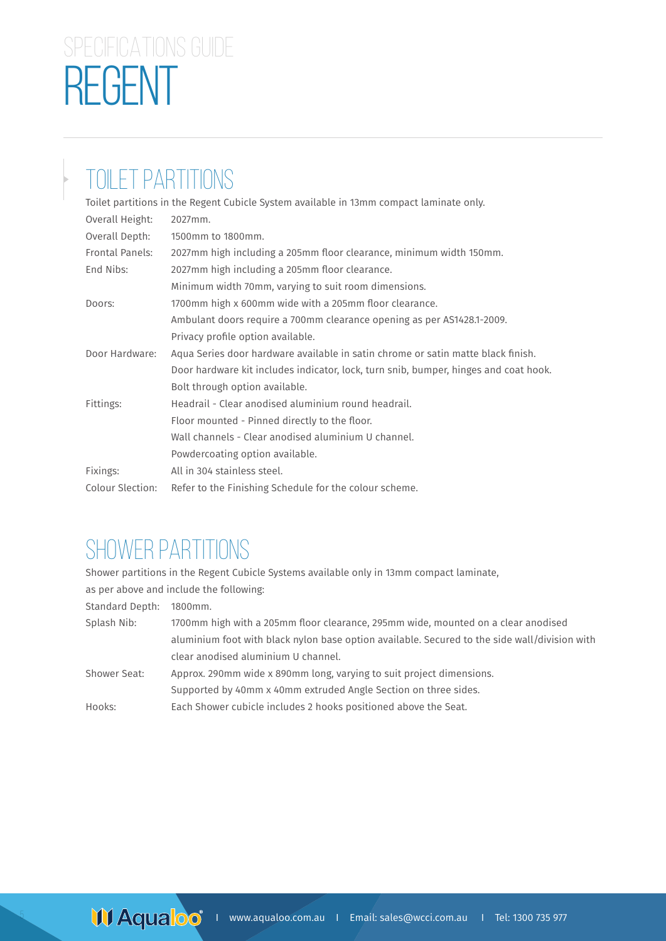# REGENT SPECIFICATIONS GUIDE

### TOILET PARTITIONS

|                  | Toilet partitions in the Regent Cubicle System available in 13mm compact laminate only. |
|------------------|-----------------------------------------------------------------------------------------|
| Overall Height:  | 2027mm.                                                                                 |
| Overall Depth:   | 1500mm to 1800mm.                                                                       |
| Frontal Panels:  | 2027mm high including a 205mm floor clearance, minimum width 150mm.                     |
| End Nibs:        | 2027mm high including a 205mm floor clearance.                                          |
|                  | Minimum width 70mm, varying to suit room dimensions.                                    |
| Doors:           | 1700mm high x 600mm wide with a 205mm floor clearance.                                  |
|                  | Ambulant doors require a 700mm clearance opening as per AS1428.1-2009.                  |
|                  | Privacy profile option available.                                                       |
| Door Hardware:   | Aqua Series door hardware available in satin chrome or satin matte black finish.        |
|                  | Door hardware kit includes indicator, lock, turn snib, bumper, hinges and coat hook.    |
|                  | Bolt through option available.                                                          |
| Fittings:        | Headrail - Clear anodised aluminium round headrail.                                     |
|                  | Floor mounted - Pinned directly to the floor.                                           |
|                  | Wall channels - Clear anodised aluminium U channel.                                     |
|                  | Powdercoating option available.                                                         |
| Fixings:         | All in 304 stainless steel.                                                             |
| Colour Slection: | Refer to the Finishing Schedule for the colour scheme.                                  |

#### SHOWER PARTITIONS

Shower partitions in the Regent Cubicle Systems available only in 13mm compact laminate,

as per above and include the following:

Standard Depth: 1800mm.

5

| Splash Nib:  | 1700mm high with a 205mm floor clearance, 295mm wide, mounted on a clear anodised             |
|--------------|-----------------------------------------------------------------------------------------------|
|              | aluminium foot with black nylon base option available. Secured to the side wall/division with |
|              | clear anodised aluminium U channel.                                                           |
| Shower Seat: | Approx. 290mm wide x 890mm long, varying to suit project dimensions.                          |
|              | Supported by 40mm x 40mm extruded Angle Section on three sides.                               |
| Hooks:       | Each Shower cubicle includes 2 hooks positioned above the Seat.                               |